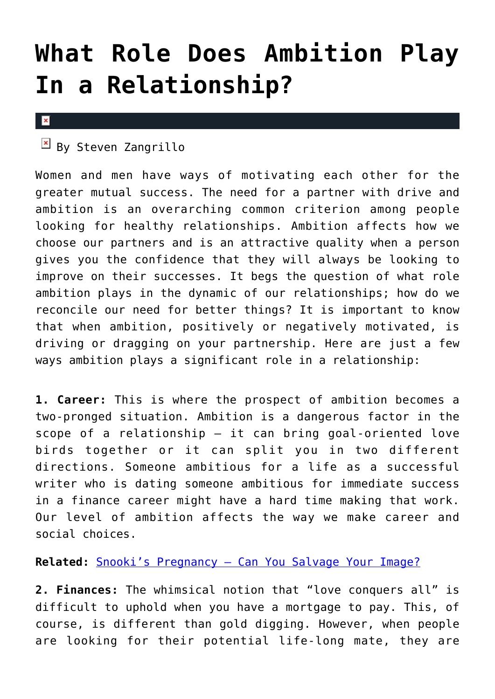## **[What Role Does Ambition Play](https://cupidspulse.com/31620/what-role-does-ambition-play-in-a-relationship/) [In a Relationship?](https://cupidspulse.com/31620/what-role-does-ambition-play-in-a-relationship/)**

## $\mathbf x$

 $\mathbb{F}$  By Steven Zangrillo

Women and men have ways of motivating each other for the greater mutual success. The need for a partner with drive and ambition is an overarching common criterion among people looking for healthy relationships. Ambition affects how we choose our partners and is an attractive quality when a person gives you the confidence that they will always be looking to improve on their successes. It begs the question of what role ambition plays in the dynamic of our relationships; how do we reconcile our need for better things? It is important to know that when ambition, positively or negatively motivated, is driving or dragging on your partnership. Here are just a few ways ambition plays a significant role in a relationship:

**1. Career:** This is where the prospect of ambition becomes a two-pronged situation. Ambition is a dangerous factor in the scope of a relationship — it can bring goal-oriented love birds together or it can split you in two different directions. Someone ambitious for a life as a successful writer who is dating someone ambitious for immediate success in a finance career might have a hard time making that work. Our level of ambition affects the way we make career and social choices.

## **Related:** [Snooki's Pregnancy – Can You Salvage Your Image?](http://cupidspulse.com/snooki-pregnancy-salvage-image-career/)

**2. Finances:** The whimsical notion that "love conquers all" is difficult to uphold when you have a mortgage to pay. This, of course, is different than gold digging. However, when people are looking for their potential life-long mate, they are